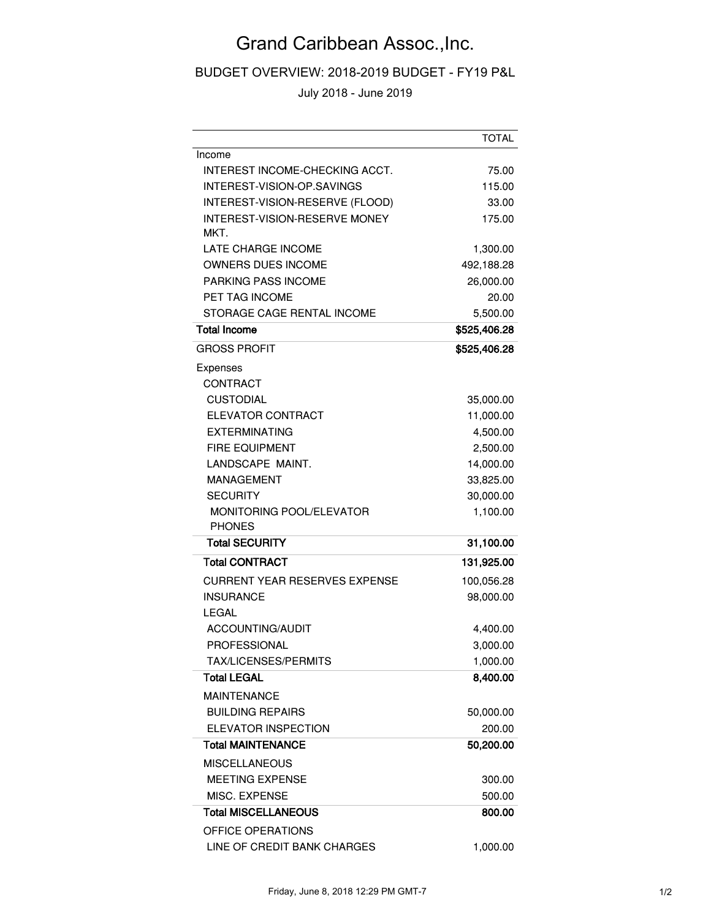## Grand Caribbean Assoc.,Inc.

BUDGET OVERVIEW: 2018-2019 BUDGET - FY19 P&L

July 2018 - June 2019

|                                              | <b>TOTAL</b>           |
|----------------------------------------------|------------------------|
| Income                                       |                        |
| INTEREST INCOME-CHECKING ACCT.               | 75.00                  |
| INTEREST-VISION-OP.SAVINGS                   | 115.00                 |
| INTEREST-VISION-RESERVE (FLOOD)              | 33.00                  |
| <b>INTEREST-VISION-RESERVE MONEY</b>         | 175.00                 |
| MKT.                                         |                        |
| <b>LATE CHARGE INCOME</b>                    | 1,300.00               |
| <b>OWNERS DUES INCOME</b>                    | 492,188.28             |
| <b>PARKING PASS INCOME</b><br>PET TAG INCOME | 26,000.00              |
| STORAGE CAGE RENTAL INCOME                   | 20.00<br>5,500.00      |
| <b>Total Income</b>                          | \$525,406.28           |
|                                              |                        |
| <b>GROSS PROFIT</b>                          | \$525,406.28           |
| Expenses                                     |                        |
| <b>CONTRACT</b>                              |                        |
| <b>CUSTODIAL</b>                             | 35,000.00              |
| ELEVATOR CONTRACT                            | 11,000.00              |
| <b>EXTERMINATING</b>                         | 4,500.00               |
| <b>FIRE EQUIPMENT</b><br>LANDSCAPE MAINT.    | 2,500.00               |
| <b>MANAGEMENT</b>                            | 14,000.00              |
| <b>SECURITY</b>                              | 33,825.00<br>30,000.00 |
| MONITORING POOL/ELEVATOR                     | 1,100.00               |
| <b>PHONES</b>                                |                        |
| <b>Total SECURITY</b>                        | 31,100.00              |
| <b>Total CONTRACT</b>                        | 131,925.00             |
| <b>CURRENT YEAR RESERVES EXPENSE</b>         | 100,056.28             |
| <b>INSURANCE</b>                             | 98,000.00              |
| <b>LEGAL</b>                                 |                        |
| ACCOUNTING/AUDIT                             | 4,400.00               |
| <b>PROFESSIONAL</b>                          | 3,000.00               |
| <b>TAX/LICENSES/PERMITS</b>                  | 1,000.00               |
| <b>Total LEGAL</b>                           | 8,400.00               |
| <b>MAINTENANCE</b>                           |                        |
| <b>BUILDING REPAIRS</b>                      | 50,000.00              |
| <b>ELEVATOR INSPECTION</b>                   | 200.00                 |
| <b>Total MAINTENANCE</b>                     | 50,200.00              |
| <b>MISCELLANEOUS</b>                         |                        |
| <b>MEETING EXPENSE</b>                       | 300.00                 |
| MISC. EXPENSE                                | 500.00                 |
| <b>Total MISCELLANEOUS</b>                   | 800.00                 |
| <b>OFFICE OPERATIONS</b>                     |                        |
| LINE OF CREDIT BANK CHARGES                  | 1,000.00               |